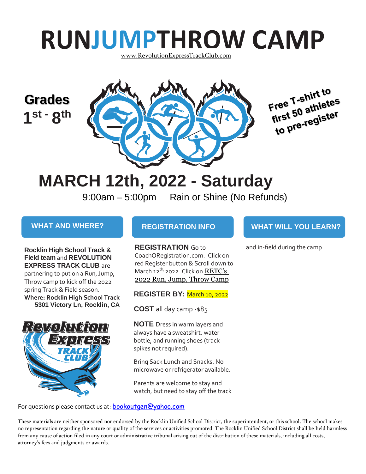# **RUNJUMPTHROW CAMP**

[www.RevolutionExpressTrackClub.com](http://www.revolutionexpresstrackclub.com/)

### **Grades 1 st - 8 th**





## **MARCH 12th, 2022 - Saturday**

9:00am – 5:00pm Rain or Shine (No Refunds)

**Rocklin High School Track & Field team** and **REVOLUTION EXPRESS TRACK CLUB** are partnering to put on a Run, Jump,

Throw camp to kick off the 2022 spring Track & Field season. **Where: Rocklin High School Track 5301 Victory Ln, Rocklin, CA**



### **WHAT AND WHERE? REGISTRATION INFO WHAT WILL YOU LEARN?**

**REGISTRATION** Go to CoachORegistration.com. Click on red Register button & Scroll down to March 12<sup>th,</sup> 2022. Click on **RETC's** 2022 [Run, Jump, Throw Camp](https://coachoregistration.com/dbi-bin/calendar.pl?type=clinic)

**REGISTER BY:** March 10, 2022

**COST** all day camp -\$85

**NOTE** Dress in warm layers and always have a sweatshirt, water bottle, and running shoes (track spikes not required).

Bring Sack Lunch and Snacks. No microwave or refrigerator available.

Parents are welcome to stay and watch, but need to stay off the track

For questions please contact us at: [bookoutgen@yahoo.com](mailto:bookoutgen@yahoo.com)

and in-field during the camp.

These materials are neither sponsored nor endorsed by the Rocklin Unified School District, the superintendent, or this school. The school makes no representation regarding the nature or quality of the services or activities promoted. The Rocklin Unified School District shall be held harmless from any cause of action filed in any court or administrative tribunal arising out of the distribution of these materials, including all costs, attorney's fees and judgments or awards.